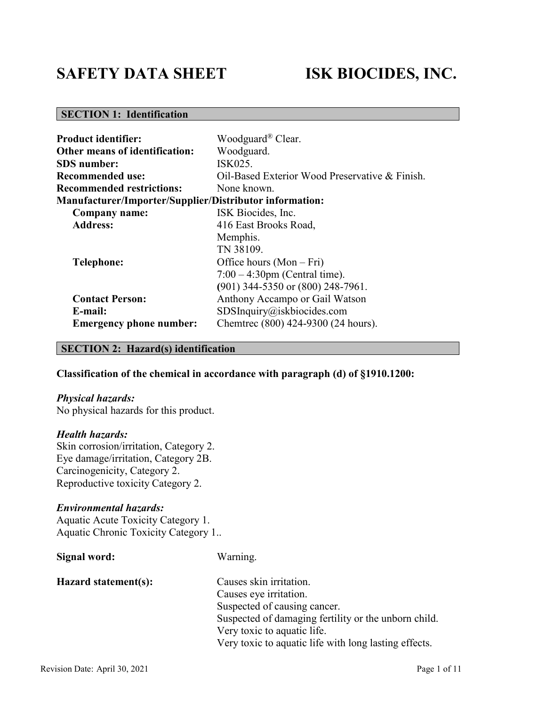# **SAFETY DATA SHEET ISK BIOCIDES, INC.**

# **SECTION 1: Identification**

| <b>Product identifier:</b>                                     | Woodguard® Clear.                              |  |  |
|----------------------------------------------------------------|------------------------------------------------|--|--|
| <b>Other means of identification:</b>                          | Woodguard.                                     |  |  |
| <b>SDS</b> number:                                             | ISK025.                                        |  |  |
| <b>Recommended use:</b>                                        | Oil-Based Exterior Wood Preservative & Finish. |  |  |
| <b>Recommended restrictions:</b>                               | None known.                                    |  |  |
| <b>Manufacturer/Importer/Supplier/Distributor information:</b> |                                                |  |  |
| Company name:                                                  | ISK Biocides, Inc.                             |  |  |
| <b>Address:</b>                                                | 416 East Brooks Road,                          |  |  |
|                                                                | Memphis.                                       |  |  |
|                                                                | TN 38109.                                      |  |  |
| <b>Telephone:</b>                                              | Office hours $(Mon-Fri)$                       |  |  |
|                                                                | $7:00 - 4:30$ pm (Central time).               |  |  |
|                                                                | (901) 344-5350 or (800) 248-7961.              |  |  |
| <b>Contact Person:</b>                                         | Anthony Accampo or Gail Watson                 |  |  |
| E-mail:                                                        | SDSInquiry@iskbiocides.com                     |  |  |
| <b>Emergency phone number:</b>                                 | Chemtrec (800) 424-9300 (24 hours).            |  |  |

#### **SECTION 2: Hazard(s) identification**

#### **Classification of the chemical in accordance with paragraph (d) of §1910.1200:**

#### *Physical hazards:*

No physical hazards for this product.

#### *Health hazards:*

Skin corrosion/irritation, Category 2. Eye damage/irritation, Category 2B. Carcinogenicity, Category 2. Reproductive toxicity Category 2.

#### *Environmental hazards:*

Aquatic Acute Toxicity Category 1. Aquatic Chronic Toxicity Category 1..

| Signal word:         | Warning.                                              |
|----------------------|-------------------------------------------------------|
| Hazard statement(s): | Causes skin irritation.                               |
|                      | Causes eye irritation.                                |
|                      | Suspected of causing cancer.                          |
|                      | Suspected of damaging fertility or the unborn child.  |
|                      | Very toxic to aquatic life.                           |
|                      | Very toxic to aquatic life with long lasting effects. |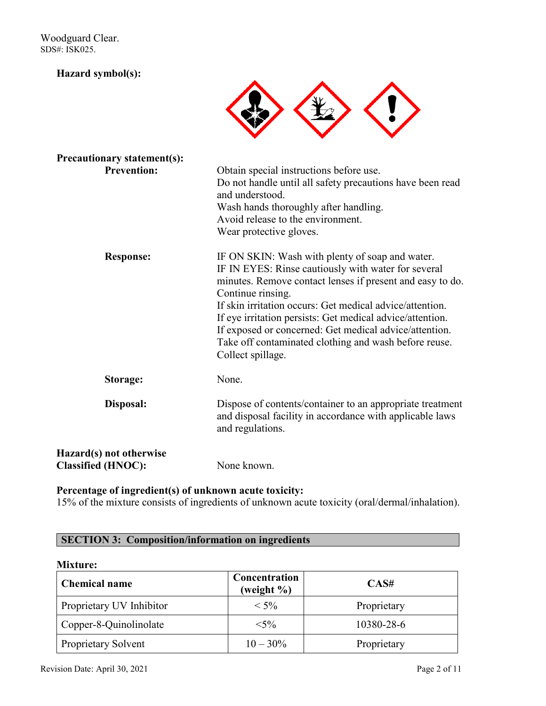#### **Hazard symbol(s):**



| <b>Precautionary statement(s):</b>                   |                                                                                                                                                                                                                                                                                                                                                                                                                                                           |
|------------------------------------------------------|-----------------------------------------------------------------------------------------------------------------------------------------------------------------------------------------------------------------------------------------------------------------------------------------------------------------------------------------------------------------------------------------------------------------------------------------------------------|
| <b>Prevention:</b>                                   | Obtain special instructions before use.<br>Do not handle until all safety precautions have been read<br>and understood.<br>Wash hands thoroughly after handling.<br>Avoid release to the environment.<br>Wear protective gloves.                                                                                                                                                                                                                          |
| <b>Response:</b>                                     | IF ON SKIN: Wash with plenty of soap and water.<br>IF IN EYES: Rinse cautiously with water for several<br>minutes. Remove contact lenses if present and easy to do.<br>Continue rinsing.<br>If skin irritation occurs: Get medical advice/attention.<br>If eye irritation persists: Get medical advice/attention.<br>If exposed or concerned: Get medical advice/attention.<br>Take off contaminated clothing and wash before reuse.<br>Collect spillage. |
| Storage:                                             | None.                                                                                                                                                                                                                                                                                                                                                                                                                                                     |
| Disposal:                                            | Dispose of contents/container to an appropriate treatment<br>and disposal facility in accordance with applicable laws<br>and regulations.                                                                                                                                                                                                                                                                                                                 |
| Hazard(s) not otherwise<br><b>Classified (HNOC):</b> | None known.                                                                                                                                                                                                                                                                                                                                                                                                                                               |

# **Percentage of ingredient(s) of unknown acute toxicity:**

15% of the mixture consists of ingredients of unknown acute toxicity (oral/dermal/inhalation).

# **SECTION 3: Composition/information on ingredients**

#### **Mixture:**

| <b>Chemical name</b>     | Concentration<br>(weight %) | CAS#        |
|--------------------------|-----------------------------|-------------|
| Proprietary UV Inhibitor | $<$ 5%                      | Proprietary |
| Copper-8-Quinolinolate   | $<$ 5%                      | 10380-28-6  |
| Proprietary Solvent      | $10 - 30\%$                 | Proprietary |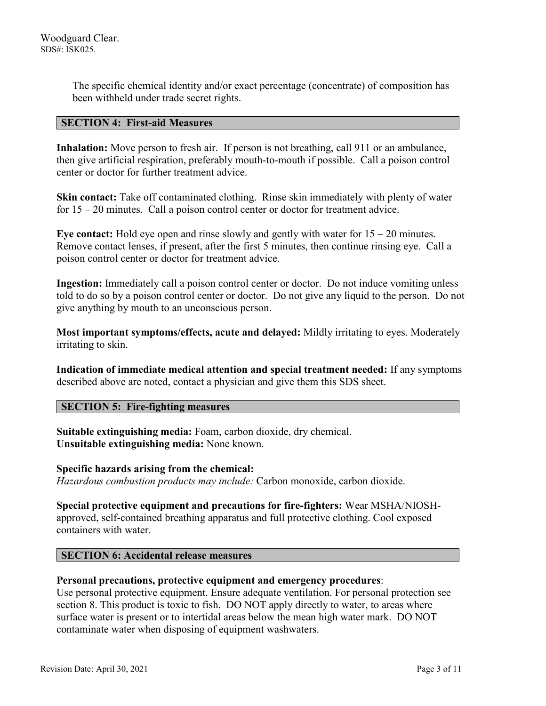The specific chemical identity and/or exact percentage (concentrate) of composition has been withheld under trade secret rights.

#### **SECTION 4: First-aid Measures**

Inhalation: Move person to fresh air. If person is not breathing, call 911 or an ambulance, then give artificial respiration, preferably mouth-to-mouth if possible. Call a poison control center or doctor for further treatment advice.

**Skin contact:** Take off contaminated clothing. Rinse skin immediately with plenty of water for 15 – 20 minutes. Call a poison control center or doctor for treatment advice.

**Eye contact:** Hold eye open and rinse slowly and gently with water for 15 – 20 minutes. Remove contact lenses, if present, after the first 5 minutes, then continue rinsing eye. Call a poison control center or doctor for treatment advice.

**Ingestion:** Immediately call a poison control center or doctor. Do not induce vomiting unless told to do so by a poison control center or doctor. Do not give any liquid to the person. Do not give anything by mouth to an unconscious person.

**Most important symptoms/effects, acute and delayed:** Mildly irritating to eyes. Moderately irritating to skin.

**Indication of immediate medical attention and special treatment needed:** If any symptoms described above are noted, contact a physician and give them this SDS sheet.

#### **SECTION 5: Fire-fighting measures**

**Suitable extinguishing media:** Foam, carbon dioxide, dry chemical. **Unsuitable extinguishing media:** None known.

#### **Specific hazards arising from the chemical:**

*Hazardous combustion products may include:* Carbon monoxide, carbon dioxide.

**Special protective equipment and precautions for fire-fighters:** Wear MSHA/NIOSHapproved, self-contained breathing apparatus and full protective clothing. Cool exposed containers with water.

#### **SECTION 6: Accidental release measures**

#### **Personal precautions, protective equipment and emergency procedures**:

Use personal protective equipment. Ensure adequate ventilation. For personal protection see section 8. This product is toxic to fish. DO NOT apply directly to water, to areas where surface water is present or to intertidal areas below the mean high water mark. DO NOT contaminate water when disposing of equipment washwaters.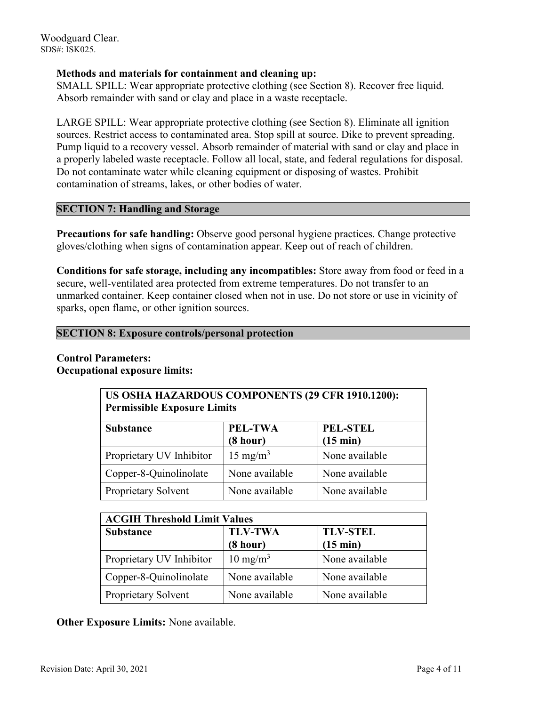#### **Methods and materials for containment and cleaning up:**

SMALL SPILL: Wear appropriate protective clothing (see Section 8). Recover free liquid. Absorb remainder with sand or clay and place in a waste receptacle.

LARGE SPILL: Wear appropriate protective clothing (see Section 8). Eliminate all ignition sources. Restrict access to contaminated area. Stop spill at source. Dike to prevent spreading. Pump liquid to a recovery vessel. Absorb remainder of material with sand or clay and place in a properly labeled waste receptacle. Follow all local, state, and federal regulations for disposal. Do not contaminate water while cleaning equipment or disposing of wastes. Prohibit contamination of streams, lakes, or other bodies of water.

#### **SECTION 7: Handling and Storage**

**Precautions for safe handling:** Observe good personal hygiene practices. Change protective gloves/clothing when signs of contamination appear. Keep out of reach of children.

**Conditions for safe storage, including any incompatibles:** Store away from food or feed in a secure, well-ventilated area protected from extreme temperatures. Do not transfer to an unmarked container. Keep container closed when not in use. Do not store or use in vicinity of sparks, open flame, or other ignition sources.

#### **SECTION 8: Exposure controls/personal protection**

#### **Control Parameters: Occupational exposure limits:**

| US OSHA HAZARDOUS COMPONENTS (29 CFR 1910.1200):<br><b>Permissible Exposure Limits</b> |                     |                |  |
|----------------------------------------------------------------------------------------|---------------------|----------------|--|
| <b>PEL-STEL</b><br>PEL-TWA<br><b>Substance</b><br>(8 hour)<br>$(15 \text{ min})$       |                     |                |  |
| Proprietary UV Inhibitor                                                               | $15 \text{ mg/m}^3$ | None available |  |
| Copper-8-Quinolinolate                                                                 | None available      | None available |  |
| Proprietary Solvent                                                                    | None available      | None available |  |

| <b>ACGIH Threshold Limit Values</b> |                                                                     |                |  |
|-------------------------------------|---------------------------------------------------------------------|----------------|--|
| <b>Substance</b>                    | <b>TLV-TWA</b><br><b>TLV-STEL</b><br>(8 hour)<br>$(15 \text{ min})$ |                |  |
| Proprietary UV Inhibitor            | $10 \text{ mg/m}^3$                                                 | None available |  |
| Copper-8-Quinolinolate              | None available                                                      | None available |  |
| <b>Proprietary Solvent</b>          | None available                                                      | None available |  |

**Other Exposure Limits:** None available.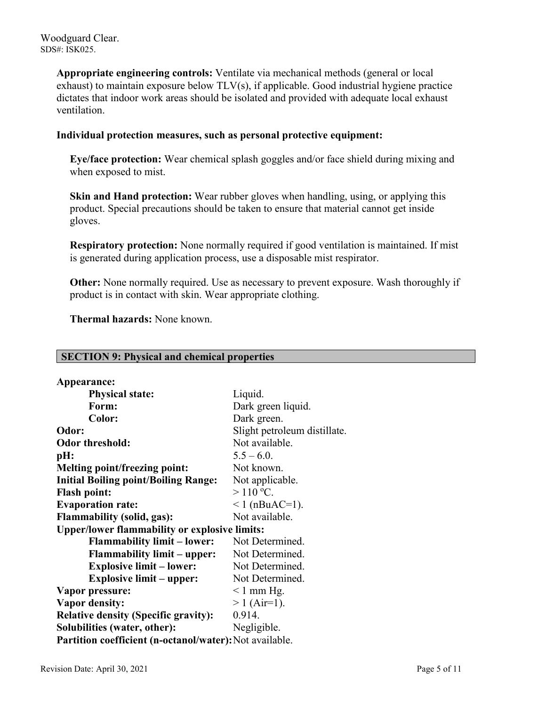> **Appropriate engineering controls:** Ventilate via mechanical methods (general or local exhaust) to maintain exposure below TLV(s), if applicable. Good industrial hygiene practice dictates that indoor work areas should be isolated and provided with adequate local exhaust ventilation.

#### **Individual protection measures, such as personal protective equipment:**

**Eye/face protection:** Wear chemical splash goggles and/or face shield during mixing and when exposed to mist.

**Skin and Hand protection:** Wear rubber gloves when handling, using, or applying this product. Special precautions should be taken to ensure that material cannot get inside gloves.

**Respiratory protection:** None normally required if good ventilation is maintained. If mist is generated during application process, use a disposable mist respirator.

**Other:** None normally required. Use as necessary to prevent exposure. Wash thoroughly if product is in contact with skin. Wear appropriate clothing.

 **Thermal hazards:** None known.

#### **SECTION 9: Physical and chemical properties**

| <b>Physical state:</b><br>Liquid.<br>Form:<br>Dark green liquid.<br>Dark green.<br>Color:<br>Odor:<br>Slight petroleum distillate.<br>Not available.<br><b>Odor threshold:</b><br>$5.5 - 6.0$ .<br>pH:<br>Not known.<br><b>Melting point/freezing point:</b><br><b>Initial Boiling point/Boiling Range:</b><br>Not applicable.<br>$>110$ °C.<br><b>Flash point:</b><br><b>Evaporation rate:</b><br>$1$ (nBuAC=1).<br>Not available.<br><b>Flammability (solid, gas):</b><br><b>Upper/lower flammability or explosive limits:</b><br><b>Flammability limit – lower:</b><br>Not Determined.<br><b>Flammability limit – upper:</b><br>Not Determined.<br><b>Explosive limit – lower:</b><br>Not Determined.<br><b>Explosive limit - upper:</b><br>Not Determined.<br>Vapor pressure:<br>$\leq 1$ mm Hg.<br>$> 1$ (Air=1).<br>Vapor density:<br>0.914.<br><b>Relative density (Specific gravity):</b><br>Solubilities (water, other):<br>Negligible.<br>Partition coefficient (n-octanol/water): Not available. | Appearance: |  |
|-------------------------------------------------------------------------------------------------------------------------------------------------------------------------------------------------------------------------------------------------------------------------------------------------------------------------------------------------------------------------------------------------------------------------------------------------------------------------------------------------------------------------------------------------------------------------------------------------------------------------------------------------------------------------------------------------------------------------------------------------------------------------------------------------------------------------------------------------------------------------------------------------------------------------------------------------------------------------------------------------------------|-------------|--|
|                                                                                                                                                                                                                                                                                                                                                                                                                                                                                                                                                                                                                                                                                                                                                                                                                                                                                                                                                                                                             |             |  |
|                                                                                                                                                                                                                                                                                                                                                                                                                                                                                                                                                                                                                                                                                                                                                                                                                                                                                                                                                                                                             |             |  |
|                                                                                                                                                                                                                                                                                                                                                                                                                                                                                                                                                                                                                                                                                                                                                                                                                                                                                                                                                                                                             |             |  |
|                                                                                                                                                                                                                                                                                                                                                                                                                                                                                                                                                                                                                                                                                                                                                                                                                                                                                                                                                                                                             |             |  |
|                                                                                                                                                                                                                                                                                                                                                                                                                                                                                                                                                                                                                                                                                                                                                                                                                                                                                                                                                                                                             |             |  |
|                                                                                                                                                                                                                                                                                                                                                                                                                                                                                                                                                                                                                                                                                                                                                                                                                                                                                                                                                                                                             |             |  |
|                                                                                                                                                                                                                                                                                                                                                                                                                                                                                                                                                                                                                                                                                                                                                                                                                                                                                                                                                                                                             |             |  |
|                                                                                                                                                                                                                                                                                                                                                                                                                                                                                                                                                                                                                                                                                                                                                                                                                                                                                                                                                                                                             |             |  |
|                                                                                                                                                                                                                                                                                                                                                                                                                                                                                                                                                                                                                                                                                                                                                                                                                                                                                                                                                                                                             |             |  |
|                                                                                                                                                                                                                                                                                                                                                                                                                                                                                                                                                                                                                                                                                                                                                                                                                                                                                                                                                                                                             |             |  |
|                                                                                                                                                                                                                                                                                                                                                                                                                                                                                                                                                                                                                                                                                                                                                                                                                                                                                                                                                                                                             |             |  |
|                                                                                                                                                                                                                                                                                                                                                                                                                                                                                                                                                                                                                                                                                                                                                                                                                                                                                                                                                                                                             |             |  |
|                                                                                                                                                                                                                                                                                                                                                                                                                                                                                                                                                                                                                                                                                                                                                                                                                                                                                                                                                                                                             |             |  |
|                                                                                                                                                                                                                                                                                                                                                                                                                                                                                                                                                                                                                                                                                                                                                                                                                                                                                                                                                                                                             |             |  |
|                                                                                                                                                                                                                                                                                                                                                                                                                                                                                                                                                                                                                                                                                                                                                                                                                                                                                                                                                                                                             |             |  |
|                                                                                                                                                                                                                                                                                                                                                                                                                                                                                                                                                                                                                                                                                                                                                                                                                                                                                                                                                                                                             |             |  |
|                                                                                                                                                                                                                                                                                                                                                                                                                                                                                                                                                                                                                                                                                                                                                                                                                                                                                                                                                                                                             |             |  |
|                                                                                                                                                                                                                                                                                                                                                                                                                                                                                                                                                                                                                                                                                                                                                                                                                                                                                                                                                                                                             |             |  |
|                                                                                                                                                                                                                                                                                                                                                                                                                                                                                                                                                                                                                                                                                                                                                                                                                                                                                                                                                                                                             |             |  |
|                                                                                                                                                                                                                                                                                                                                                                                                                                                                                                                                                                                                                                                                                                                                                                                                                                                                                                                                                                                                             |             |  |
|                                                                                                                                                                                                                                                                                                                                                                                                                                                                                                                                                                                                                                                                                                                                                                                                                                                                                                                                                                                                             |             |  |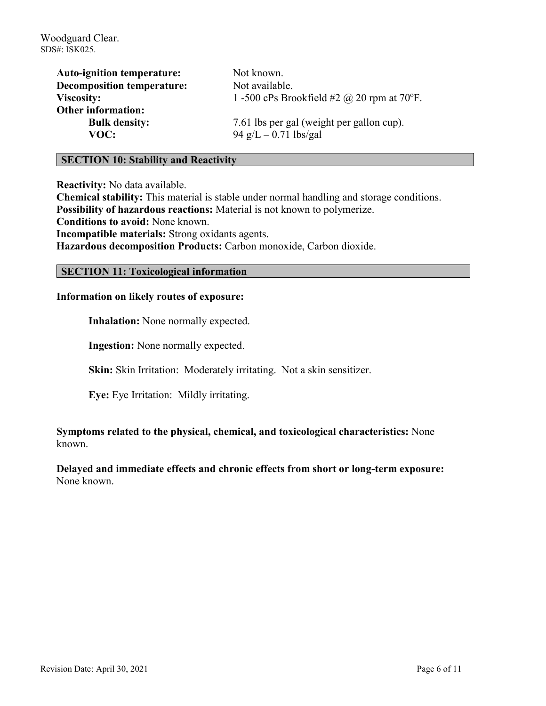| <b>Auto-ignition temperature:</b> | Not known.                                        |
|-----------------------------------|---------------------------------------------------|
| <b>Decomposition temperature:</b> | Not available.                                    |
| <b>Viscosity:</b>                 | 1 -500 cPs Brookfield #2 $\omega$ 20 rpm at 70°F. |
| <b>Other information:</b>         |                                                   |
| <b>Bulk density:</b>              | 7.61 lbs per gal (weight per gallon cup).         |
| VOC:                              | 94 g/L $-$ 0.71 lbs/gal                           |

#### **SECTION 10: Stability and Reactivity**

**Reactivity:** No data available.

**Chemical stability:** This material is stable under normal handling and storage conditions. **Possibility of hazardous reactions:** Material is not known to polymerize. **Conditions to avoid:** None known. **Incompatible materials:** Strong oxidants agents.

**Hazardous decomposition Products:** Carbon monoxide, Carbon dioxide.

#### **SECTION 11: Toxicological information**

#### **Information on likely routes of exposure:**

**Inhalation:** None normally expected.

**Ingestion:** None normally expected.

**Skin:** Skin Irritation: Moderately irritating. Not a skin sensitizer.

**Eye:** Eye Irritation: Mildly irritating.

**Symptoms related to the physical, chemical, and toxicological characteristics:** None known.

**Delayed and immediate effects and chronic effects from short or long-term exposure:** None known.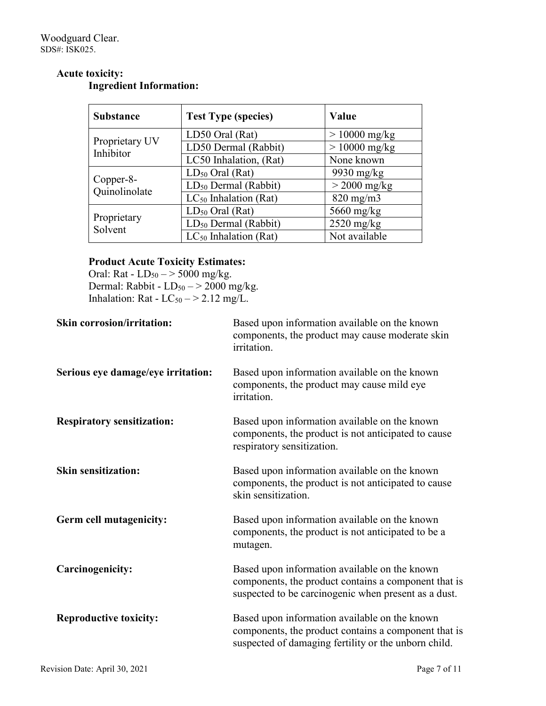#### **Acute toxicity: Ingredient Information:**

| <b>Substance</b>            | <b>Test Type (species)</b>       | Value           |
|-----------------------------|----------------------------------|-----------------|
|                             | LD50 Oral (Rat)                  | $> 10000$ mg/kg |
| Proprietary UV<br>Inhibitor | LD50 Dermal (Rabbit)             | $> 10000$ mg/kg |
|                             | LC50 Inhalation, (Rat)           | None known      |
|                             | $LD_{50}$ Oral (Rat)             | $9930$ mg/kg    |
| Copper-8-<br>Quinolinolate  | $LD_{50}$ Dermal (Rabbit)        | $>$ 2000 mg/kg  |
|                             | $LC_{50}$ Inhalation (Rat)       | $820$ mg/m $3$  |
|                             | $LD_{50}$ Oral (Rat)             | $5660$ mg/kg    |
| Proprietary<br>Solvent      | LD <sub>50</sub> Dermal (Rabbit) | $2520$ mg/kg    |
|                             | $LC_{50}$ Inhalation (Rat)       | Not available   |

# **Product Acute Toxicity Estimates:**

Oral: Rat -  $LD_{50} \rightarrow 5000$  mg/kg. Dermal: Rabbit -  $LD_{50} \rightarrow 2000$  mg/kg. Inhalation: Rat -  $LC_{50}$  - > 2.12 mg/L.

| <b>Skin corrosion/irritation:</b>  | Based upon information available on the known<br>components, the product may cause moderate skin<br>irritation.                                               |
|------------------------------------|---------------------------------------------------------------------------------------------------------------------------------------------------------------|
| Serious eye damage/eye irritation: | Based upon information available on the known<br>components, the product may cause mild eye<br>irritation.                                                    |
| <b>Respiratory sensitization:</b>  | Based upon information available on the known<br>components, the product is not anticipated to cause<br>respiratory sensitization.                            |
| <b>Skin sensitization:</b>         | Based upon information available on the known<br>components, the product is not anticipated to cause<br>skin sensitization.                                   |
| Germ cell mutagenicity:            | Based upon information available on the known<br>components, the product is not anticipated to be a<br>mutagen.                                               |
| Carcinogenicity:                   | Based upon information available on the known<br>components, the product contains a component that is<br>suspected to be carcinogenic when present as a dust. |
| <b>Reproductive toxicity:</b>      | Based upon information available on the known<br>components, the product contains a component that is<br>suspected of damaging fertility or the unborn child. |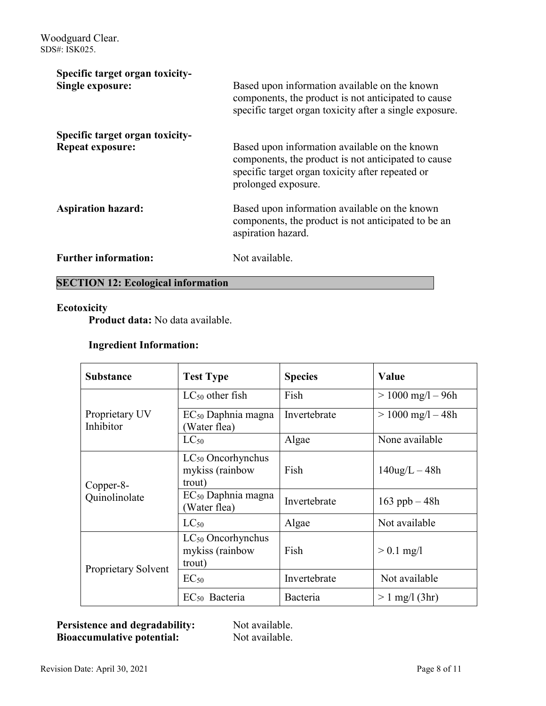| Specific target organ toxicity- |                                                                                                                                                                                 |
|---------------------------------|---------------------------------------------------------------------------------------------------------------------------------------------------------------------------------|
| <b>Single exposure:</b>         | Based upon information available on the known<br>components, the product is not anticipated to cause<br>specific target organ toxicity after a single exposure.                 |
| Specific target organ toxicity- |                                                                                                                                                                                 |
| <b>Repeat exposure:</b>         | Based upon information available on the known<br>components, the product is not anticipated to cause<br>specific target organ toxicity after repeated or<br>prolonged exposure. |
| <b>Aspiration hazard:</b>       | Based upon information available on the known<br>components, the product is not anticipated to be an<br>aspiration hazard.                                                      |
| <b>Further information:</b>     | Not available.                                                                                                                                                                  |

# **SECTION 12: Ecological information**

#### **Ecotoxicity**

**Product data:** No data available.

# **Ingredient Information:**

| <b>Substance</b>            | <b>Test Type</b>                                    | <b>Species</b> | Value                 |
|-----------------------------|-----------------------------------------------------|----------------|-----------------------|
|                             | $LC_{50}$ other fish                                | Fish           | $> 1000$ mg/l $- 96h$ |
| Proprietary UV<br>Inhibitor | $EC_{50}$ Daphnia magna<br>Water flea)              | Invertebrate   | $> 1000$ mg/l $-48h$  |
|                             | $LC_{50}$                                           | Algae          | None available        |
| Copper-8-                   | $LC_{50}$ Oncorhynchus<br>mykiss (rainbow<br>trout) | Fish           | $140$ ug/L $-48h$     |
| Quinolinolate               | $EC_{50}$ Daphnia magna<br>(Water flea)             | Invertebrate   | 163 ppb $-48h$        |
|                             | $LC_{50}$                                           | Algae          | Not available         |
|                             | $LC_{50}$ Oncorhynchus<br>mykiss (rainbow<br>trout) | Fish           | $> 0.1$ mg/l          |
| Proprietary Solvent         | $EC_{50}$                                           | Invertebrate   | Not available         |
|                             | EC <sub>50</sub> Bacteria                           | Bacteria       | $> 1$ mg/l (3hr)      |

Persistence and degradability: Not available. **Bioaccumulative potential:** Not available.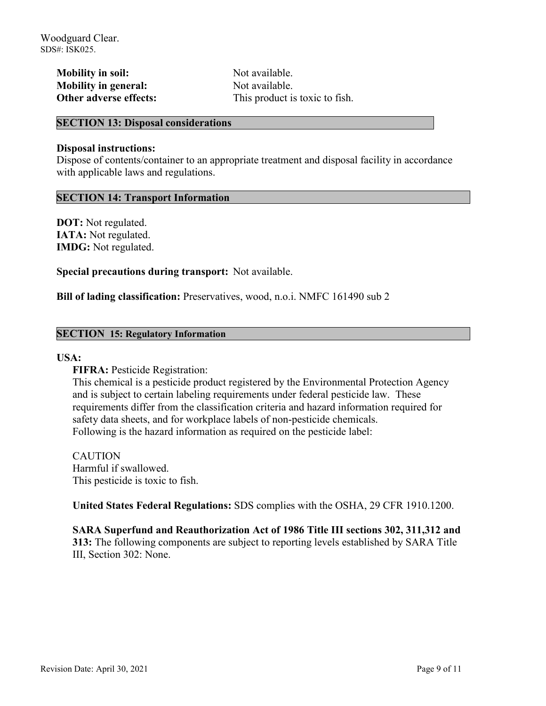**Mobility in soil:** Not available. **Mobility in general:** Not available.

**Other adverse effects:** This product is toxic to fish.

#### **SECTION 13: Disposal considerations**

#### **Disposal instructions:**

Dispose of contents/container to an appropriate treatment and disposal facility in accordance with applicable laws and regulations.

#### **SECTION 14: Transport Information**

**DOT:** Not regulated. **IATA:** Not regulated. **IMDG:** Not regulated.

**Special precautions during transport:** Not available.

**Bill of lading classification:** Preservatives, wood, n.o.i. NMFC 161490 sub 2

#### **SECTION 15: Regulatory Information**

#### **USA:**

**FIFRA: Pesticide Registration:** 

This chemical is a pesticide product registered by the Environmental Protection Agency and is subject to certain labeling requirements under federal pesticide law. These requirements differ from the classification criteria and hazard information required for safety data sheets, and for workplace labels of non-pesticide chemicals. Following is the hazard information as required on the pesticide label:

CAUTION Harmful if swallowed. This pesticide is toxic to fish.

**United States Federal Regulations:** SDS complies with the OSHA, 29 CFR 1910.1200.

**SARA Superfund and Reauthorization Act of 1986 Title III sections 302, 311,312 and 313:** The following components are subject to reporting levels established by SARA Title III, Section 302: None.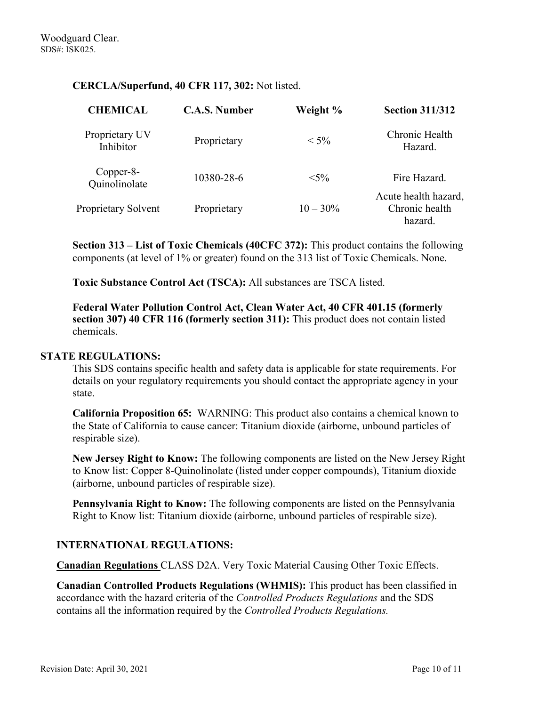### **CERCLA/Superfund, 40 CFR 117, 302:** Not listed.

| <b>CHEMICAL</b>             | <b>C.A.S. Number</b> | Weight %    | <b>Section 311/312</b>                            |
|-----------------------------|----------------------|-------------|---------------------------------------------------|
| Proprietary UV<br>Inhibitor | Proprietary          | $< 5\%$     | Chronic Health<br>Hazard.                         |
| Copper-8-<br>Quinolinolate  | 10380-28-6           | $< 5\%$     | Fire Hazard.                                      |
| <b>Proprietary Solvent</b>  | Proprietary          | $10 - 30\%$ | Acute health hazard,<br>Chronic health<br>hazard. |

**Section 313 – List of Toxic Chemicals (40CFC 372):** This product contains the following components (at level of 1% or greater) found on the 313 list of Toxic Chemicals. None.

**Toxic Substance Control Act (TSCA):** All substances are TSCA listed.

**Federal Water Pollution Control Act, Clean Water Act, 40 CFR 401.15 (formerly section 307) 40 CFR 116 (formerly section 311):** This product does not contain listed chemicals.

#### **STATE REGULATIONS:**

This SDS contains specific health and safety data is applicable for state requirements. For details on your regulatory requirements you should contact the appropriate agency in your state.

**California Proposition 65:** WARNING: This product also contains a chemical known to the State of California to cause cancer: Titanium dioxide (airborne, unbound particles of respirable size).

**New Jersey Right to Know:** The following components are listed on the New Jersey Right to Know list: Copper 8-Quinolinolate (listed under copper compounds), Titanium dioxide (airborne, unbound particles of respirable size).

**Pennsylvania Right to Know:** The following components are listed on the Pennsylvania Right to Know list: Titanium dioxide (airborne, unbound particles of respirable size).

# **INTERNATIONAL REGULATIONS:**

**Canadian Regulations** CLASS D2A. Very Toxic Material Causing Other Toxic Effects.

**Canadian Controlled Products Regulations (WHMIS):** This product has been classified in accordance with the hazard criteria of the *Controlled Products Regulations* and the SDS contains all the information required by the *Controlled Products Regulations.*